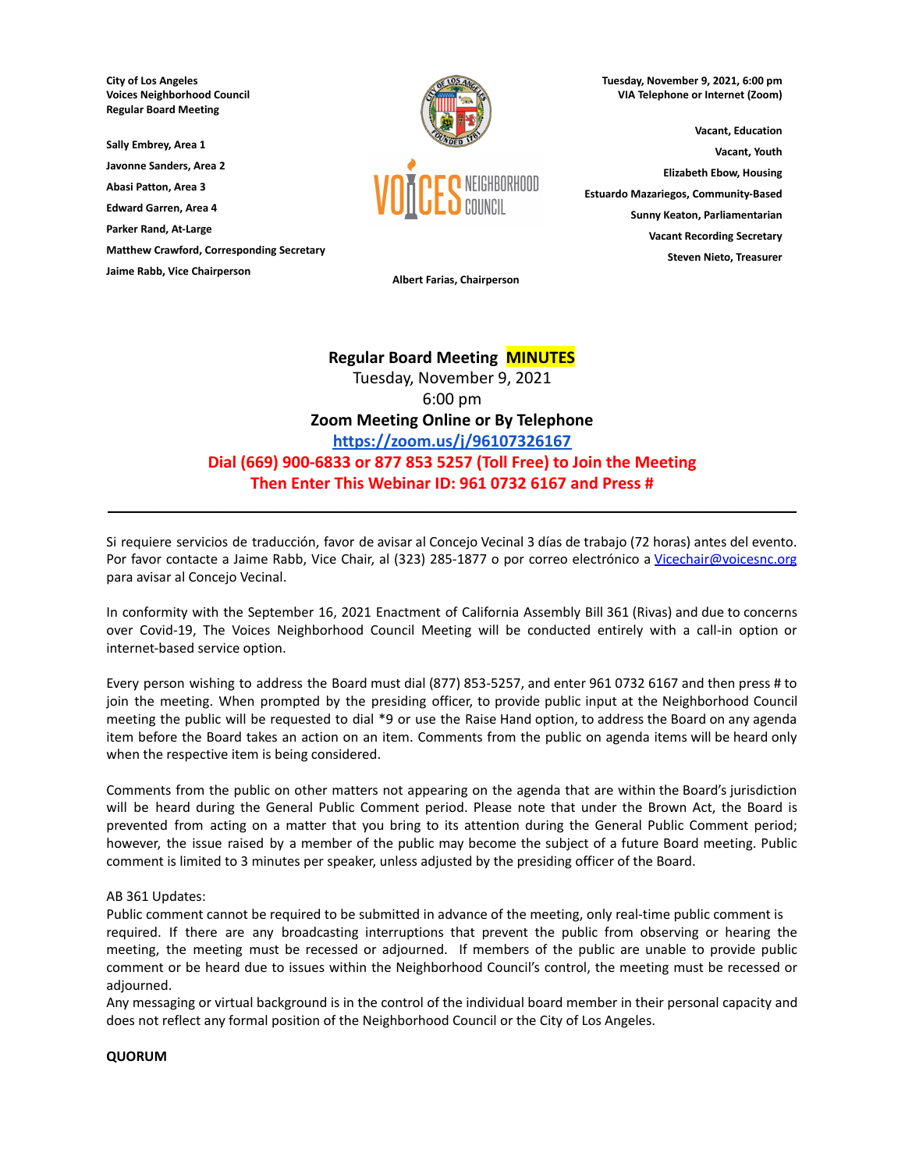**City of Los Angeles Voices Neighborhood Council Regular Board Meeting**

**Sally Embrey, Area 1**

**Javonne Sanders, Area 2**

**Abasi Patton, Area 3 Edward Garren, Area 4**

**Parker Rand, At-Large**

**Matthew Crawford, Corresponding Secretary**

**Jaime Rabb, Vice Chairperson**



**Tuesday, November 9, 2021, 6:00 pm VIA Telephone or Internet (Zoom)**

**Vacant, Education Vacant, Youth Elizabeth Ebow, Housing Estuardo Mazariegos, Community-Based Sunny Keaton, Parliamentarian Vacant Recording Secretary Steven Nieto, Treasurer**

**Albert Farias, Chairperson**

# **Regular Board Meeting MINUTES**

Tuesday, November 9, 2021 6:00 pm **Zoom Meeting Online or By Telephone <https://zoom.us/j/96107326167> Dial (669) 900-6833 or 877 853 5257 (Toll Free) to Join the Meeting Then Enter This Webinar ID: 961 0732 6167 and Press #**

Si requiere servicios de traducción, favor de avisar al Concejo Vecinal 3 días de trabajo (72 horas) antes del evento. Por favor contacte a Jaime Rabb, Vice Chair, al (323) 285-1877 o por correo electrónico a [Vicechair@voicesnc.org](mailto:VNCCorrSec18@gmail.com) para avisar al Concejo Vecinal.

**\_\_\_\_\_\_\_\_\_\_\_\_\_\_\_\_\_\_\_\_\_\_\_\_\_\_\_\_\_\_\_\_\_\_\_\_\_\_\_\_\_\_\_\_\_\_\_\_\_\_\_\_\_\_\_\_\_\_\_\_\_\_\_\_\_\_\_\_\_\_\_\_\_\_\_\_\_\_**

In conformity with the September 16, 2021 Enactment of California Assembly Bill 361 (Rivas) and due to concerns over Covid-19, The Voices Neighborhood Council Meeting will be conducted entirely with a call-in option or internet-based service option.

Every person wishing to address the Board must dial (877) 853-5257, and enter 961 0732 6167 and then press # to join the meeting. When prompted by the presiding officer, to provide public input at the Neighborhood Council meeting the public will be requested to dial \*9 or use the Raise Hand option, to address the Board on any agenda item before the Board takes an action on an item. Comments from the public on agenda items will be heard only when the respective item is being considered.

Comments from the public on other matters not appearing on the agenda that are within the Board's jurisdiction will be heard during the General Public Comment period. Please note that under the Brown Act, the Board is prevented from acting on a matter that you bring to its attention during the General Public Comment period; however, the issue raised by a member of the public may become the subject of a future Board meeting. Public comment is limited to 3 minutes per speaker, unless adjusted by the presiding officer of the Board.

# AB 361 Updates:

Public comment cannot be required to be submitted in advance of the meeting, only real-time public comment is required. If there are any broadcasting interruptions that prevent the public from observing or hearing the meeting, the meeting must be recessed or adjourned. If members of the public are unable to provide public comment or be heard due to issues within the Neighborhood Council's control, the meeting must be recessed or adjourned.

Any messaging or virtual background is in the control of the individual board member in their personal capacity and does not reflect any formal position of the Neighborhood Council or the City of Los Angeles.

# **QUORUM**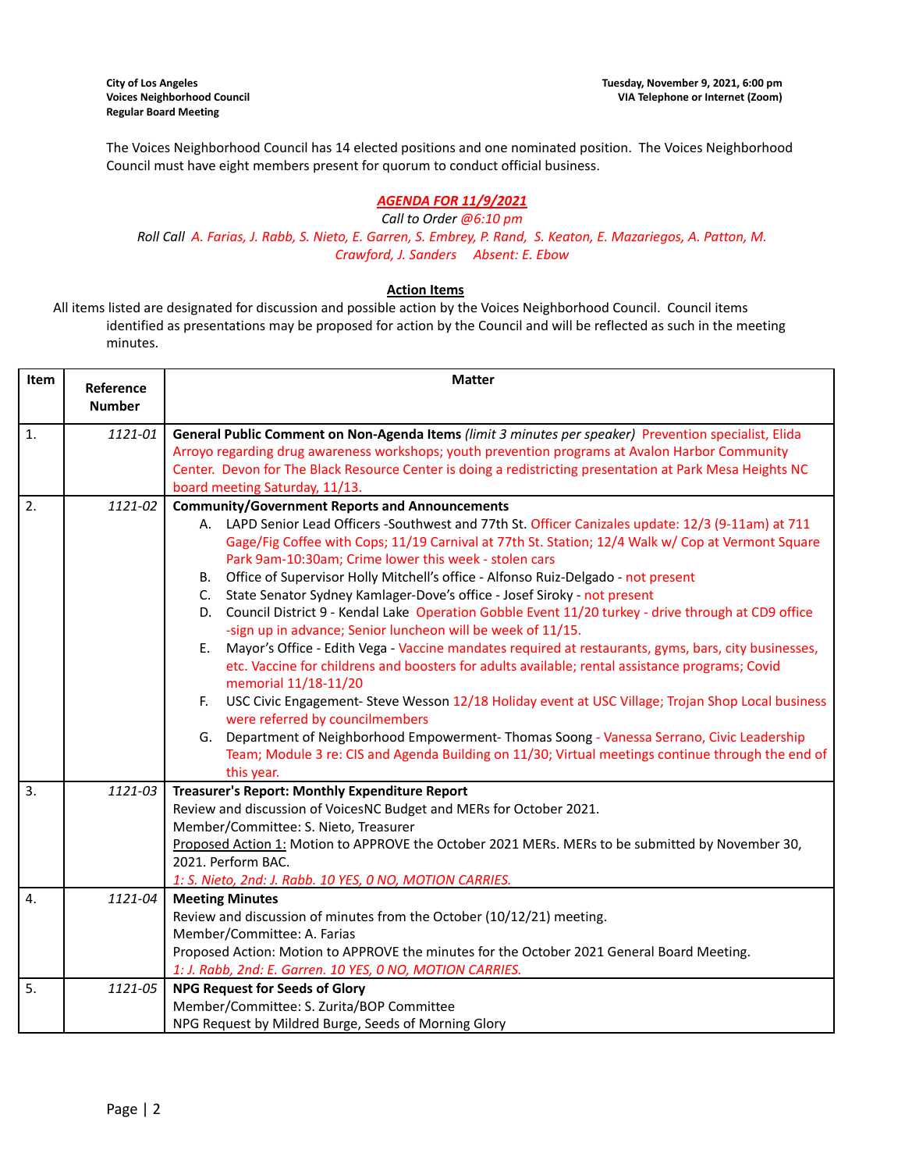The Voices Neighborhood Council has 14 elected positions and one nominated position. The Voices Neighborhood Council must have eight members present for quorum to conduct official business.

# *AGENDA FOR 11/9/2021*

*Call to Order @6:10 pm* Roll Call A. Farias, J. Rabb, S. Nieto, E. Garren, S. Embrey, P. Rand, S. Keaton, E. Mazariegos, A. Patton, M. *Crawford, J. Sanders Absent: E. Ebow*

# **Action Items**

All items listed are designated for discussion and possible action by the Voices Neighborhood Council. Council items identified as presentations may be proposed for action by the Council and will be reflected as such in the meeting minutes.

| Item             | Reference<br><b>Number</b> | <b>Matter</b>                                                                                                                                                                                                                                                                                                                                                                                                                                                                                                                                                                                                                                                                                                                                                                                                                                                                                                                                                                                                                                                                                                                                                                                                                                                                     |  |
|------------------|----------------------------|-----------------------------------------------------------------------------------------------------------------------------------------------------------------------------------------------------------------------------------------------------------------------------------------------------------------------------------------------------------------------------------------------------------------------------------------------------------------------------------------------------------------------------------------------------------------------------------------------------------------------------------------------------------------------------------------------------------------------------------------------------------------------------------------------------------------------------------------------------------------------------------------------------------------------------------------------------------------------------------------------------------------------------------------------------------------------------------------------------------------------------------------------------------------------------------------------------------------------------------------------------------------------------------|--|
| 1.               | 1121-01                    | General Public Comment on Non-Agenda Items (limit 3 minutes per speaker) Prevention specialist, Elida<br>Arroyo regarding drug awareness workshops; youth prevention programs at Avalon Harbor Community<br>Center. Devon for The Black Resource Center is doing a redistricting presentation at Park Mesa Heights NC<br>board meeting Saturday, 11/13.                                                                                                                                                                                                                                                                                                                                                                                                                                                                                                                                                                                                                                                                                                                                                                                                                                                                                                                           |  |
| 2.               | 1121-02                    | <b>Community/Government Reports and Announcements</b><br>A. LAPD Senior Lead Officers -Southwest and 77th St. Officer Canizales update: 12/3 (9-11am) at 711<br>Gage/Fig Coffee with Cops; 11/19 Carnival at 77th St. Station; 12/4 Walk w/ Cop at Vermont Square<br>Park 9am-10:30am; Crime lower this week - stolen cars<br>B. Office of Supervisor Holly Mitchell's office - Alfonso Ruiz-Delgado - not present<br>C. State Senator Sydney Kamlager-Dove's office - Josef Siroky - not present<br>D. Council District 9 - Kendal Lake Operation Gobble Event 11/20 turkey - drive through at CD9 office<br>-sign up in advance; Senior luncheon will be week of 11/15.<br>Mayor's Office - Edith Vega - Vaccine mandates required at restaurants, gyms, bars, city businesses,<br>E.<br>etc. Vaccine for childrens and boosters for adults available; rental assistance programs; Covid<br>memorial 11/18-11/20<br>USC Civic Engagement- Steve Wesson 12/18 Holiday event at USC Village; Trojan Shop Local business<br>F.<br>were referred by councilmembers<br>G. Department of Neighborhood Empowerment-Thomas Soong - Vanessa Serrano, Civic Leadership<br>Team; Module 3 re: CIS and Agenda Building on 11/30; Virtual meetings continue through the end of<br>this year. |  |
| $\overline{3}$ . | 1121-03                    | Treasurer's Report: Monthly Expenditure Report<br>Review and discussion of VoicesNC Budget and MERs for October 2021.<br>Member/Committee: S. Nieto, Treasurer<br>Proposed Action 1: Motion to APPROVE the October 2021 MERs. MERs to be submitted by November 30,<br>2021. Perform BAC.<br>1: S. Nieto, 2nd: J. Rabb. 10 YES, 0 NO, MOTION CARRIES.                                                                                                                                                                                                                                                                                                                                                                                                                                                                                                                                                                                                                                                                                                                                                                                                                                                                                                                              |  |
| 4.               | 1121-04                    | <b>Meeting Minutes</b><br>Review and discussion of minutes from the October (10/12/21) meeting.<br>Member/Committee: A. Farias<br>Proposed Action: Motion to APPROVE the minutes for the October 2021 General Board Meeting.<br>1: J. Rabb, 2nd: E. Garren. 10 YES, 0 NO, MOTION CARRIES.                                                                                                                                                                                                                                                                                                                                                                                                                                                                                                                                                                                                                                                                                                                                                                                                                                                                                                                                                                                         |  |
| 5.               | 1121-05                    | <b>NPG Request for Seeds of Glory</b><br>Member/Committee: S. Zurita/BOP Committee<br>NPG Request by Mildred Burge, Seeds of Morning Glory                                                                                                                                                                                                                                                                                                                                                                                                                                                                                                                                                                                                                                                                                                                                                                                                                                                                                                                                                                                                                                                                                                                                        |  |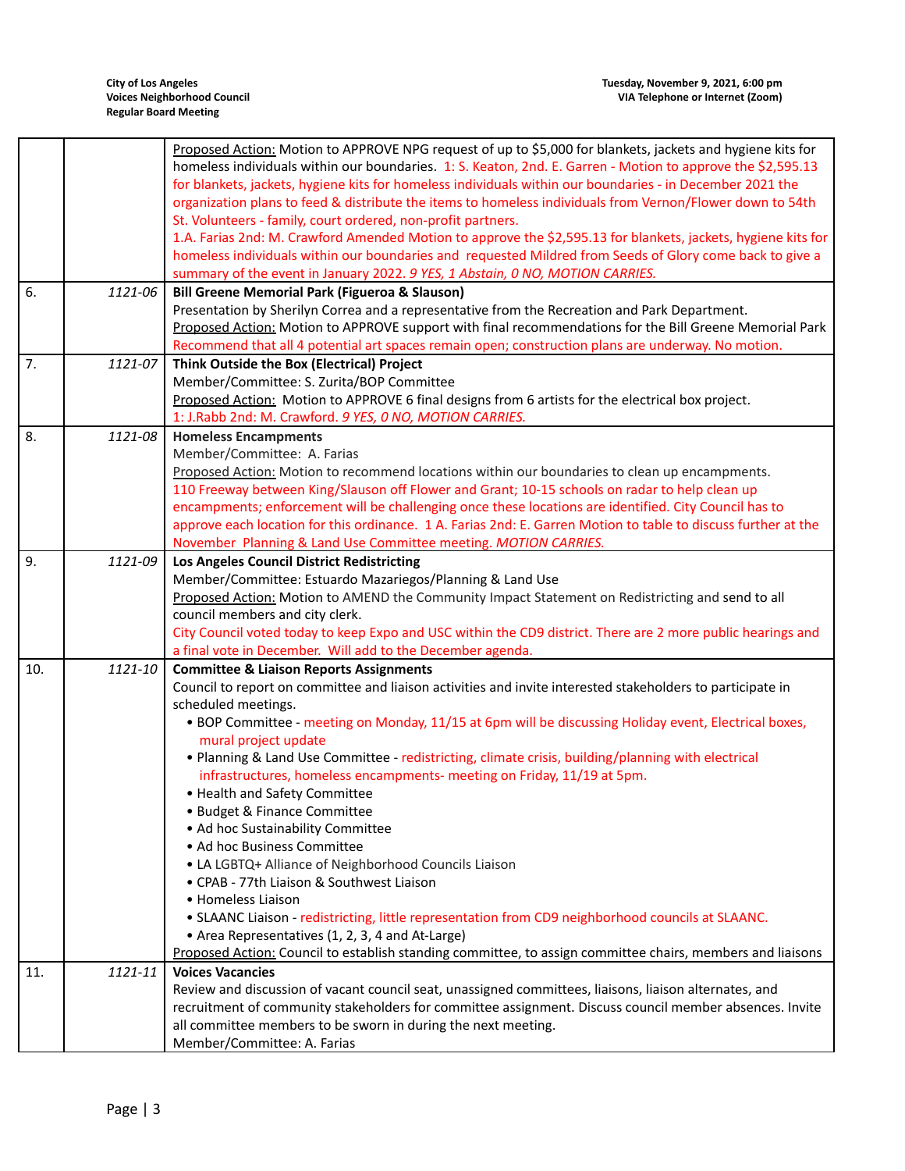|     |         | Proposed Action: Motion to APPROVE NPG request of up to \$5,000 for blankets, jackets and hygiene kits for<br>homeless individuals within our boundaries. 1: S. Keaton, 2nd. E. Garren - Motion to approve the \$2,595.13<br>for blankets, jackets, hygiene kits for homeless individuals within our boundaries - in December 2021 the<br>organization plans to feed & distribute the items to homeless individuals from Vernon/Flower down to 54th |
|-----|---------|-----------------------------------------------------------------------------------------------------------------------------------------------------------------------------------------------------------------------------------------------------------------------------------------------------------------------------------------------------------------------------------------------------------------------------------------------------|
|     |         | St. Volunteers - family, court ordered, non-profit partners.<br>1.A. Farias 2nd: M. Crawford Amended Motion to approve the \$2,595.13 for blankets, jackets, hygiene kits for<br>homeless individuals within our boundaries and requested Mildred from Seeds of Glory come back to give a<br>summary of the event in January 2022. 9 YES, 1 Abstain, 0 NO, MOTION CARRIES.                                                                          |
| 6.  | 1121-06 | <b>Bill Greene Memorial Park (Figueroa &amp; Slauson)</b>                                                                                                                                                                                                                                                                                                                                                                                           |
|     |         | Presentation by Sherilyn Correa and a representative from the Recreation and Park Department.                                                                                                                                                                                                                                                                                                                                                       |
|     |         | Proposed Action: Motion to APPROVE support with final recommendations for the Bill Greene Memorial Park                                                                                                                                                                                                                                                                                                                                             |
|     |         | Recommend that all 4 potential art spaces remain open; construction plans are underway. No motion.                                                                                                                                                                                                                                                                                                                                                  |
| 7.  | 1121-07 | Think Outside the Box (Electrical) Project                                                                                                                                                                                                                                                                                                                                                                                                          |
|     |         | Member/Committee: S. Zurita/BOP Committee                                                                                                                                                                                                                                                                                                                                                                                                           |
|     |         | Proposed Action: Motion to APPROVE 6 final designs from 6 artists for the electrical box project.<br>1: J.Rabb 2nd: M. Crawford. 9 YES, 0 NO, MOTION CARRIES.                                                                                                                                                                                                                                                                                       |
| 8.  | 1121-08 | <b>Homeless Encampments</b>                                                                                                                                                                                                                                                                                                                                                                                                                         |
|     |         | Member/Committee: A. Farias                                                                                                                                                                                                                                                                                                                                                                                                                         |
|     |         | Proposed Action: Motion to recommend locations within our boundaries to clean up encampments.                                                                                                                                                                                                                                                                                                                                                       |
|     |         | 110 Freeway between King/Slauson off Flower and Grant; 10-15 schools on radar to help clean up                                                                                                                                                                                                                                                                                                                                                      |
|     |         | encampments; enforcement will be challenging once these locations are identified. City Council has to                                                                                                                                                                                                                                                                                                                                               |
|     |         | approve each location for this ordinance. 1 A. Farias 2nd: E. Garren Motion to table to discuss further at the                                                                                                                                                                                                                                                                                                                                      |
|     |         | November Planning & Land Use Committee meeting. MOTION CARRIES.                                                                                                                                                                                                                                                                                                                                                                                     |
| 9.  | 1121-09 | Los Angeles Council District Redistricting                                                                                                                                                                                                                                                                                                                                                                                                          |
|     |         | Member/Committee: Estuardo Mazariegos/Planning & Land Use                                                                                                                                                                                                                                                                                                                                                                                           |
|     |         | Proposed Action: Motion to AMEND the Community Impact Statement on Redistricting and send to all                                                                                                                                                                                                                                                                                                                                                    |
|     |         | council members and city clerk.                                                                                                                                                                                                                                                                                                                                                                                                                     |
|     |         | City Council voted today to keep Expo and USC within the CD9 district. There are 2 more public hearings and                                                                                                                                                                                                                                                                                                                                         |
|     |         | a final vote in December. Will add to the December agenda.                                                                                                                                                                                                                                                                                                                                                                                          |
| 10. | 1121-10 | <b>Committee &amp; Liaison Reports Assignments</b>                                                                                                                                                                                                                                                                                                                                                                                                  |
|     |         | Council to report on committee and liaison activities and invite interested stakeholders to participate in                                                                                                                                                                                                                                                                                                                                          |
|     |         | scheduled meetings.                                                                                                                                                                                                                                                                                                                                                                                                                                 |
|     |         | . BOP Committee - meeting on Monday, 11/15 at 6pm will be discussing Holiday event, Electrical boxes,<br>mural project update                                                                                                                                                                                                                                                                                                                       |
|     |         | • Planning & Land Use Committee - redistricting, climate crisis, building/planning with electrical                                                                                                                                                                                                                                                                                                                                                  |
|     |         | infrastructures, homeless encampments- meeting on Friday, 11/19 at 5pm.                                                                                                                                                                                                                                                                                                                                                                             |
|     |         | • Health and Safety Committee                                                                                                                                                                                                                                                                                                                                                                                                                       |
|     |         | • Budget & Finance Committee                                                                                                                                                                                                                                                                                                                                                                                                                        |
|     |         | • Ad hoc Sustainability Committee                                                                                                                                                                                                                                                                                                                                                                                                                   |
|     |         | • Ad hoc Business Committee                                                                                                                                                                                                                                                                                                                                                                                                                         |
|     |         | • LA LGBTQ+ Alliance of Neighborhood Councils Liaison                                                                                                                                                                                                                                                                                                                                                                                               |
|     |         | • CPAB - 77th Liaison & Southwest Liaison                                                                                                                                                                                                                                                                                                                                                                                                           |
|     |         | • Homeless Liaison                                                                                                                                                                                                                                                                                                                                                                                                                                  |
|     |         | . SLAANC Liaison - redistricting, little representation from CD9 neighborhood councils at SLAANC.                                                                                                                                                                                                                                                                                                                                                   |
|     |         | • Area Representatives (1, 2, 3, 4 and At-Large)                                                                                                                                                                                                                                                                                                                                                                                                    |
|     |         | Proposed Action: Council to establish standing committee, to assign committee chairs, members and liaisons                                                                                                                                                                                                                                                                                                                                          |
| 11. | 1121-11 | <b>Voices Vacancies</b>                                                                                                                                                                                                                                                                                                                                                                                                                             |
|     |         | Review and discussion of vacant council seat, unassigned committees, liaisons, liaison alternates, and                                                                                                                                                                                                                                                                                                                                              |
|     |         | recruitment of community stakeholders for committee assignment. Discuss council member absences. Invite                                                                                                                                                                                                                                                                                                                                             |
|     |         | all committee members to be sworn in during the next meeting.                                                                                                                                                                                                                                                                                                                                                                                       |
|     |         | Member/Committee: A. Farias                                                                                                                                                                                                                                                                                                                                                                                                                         |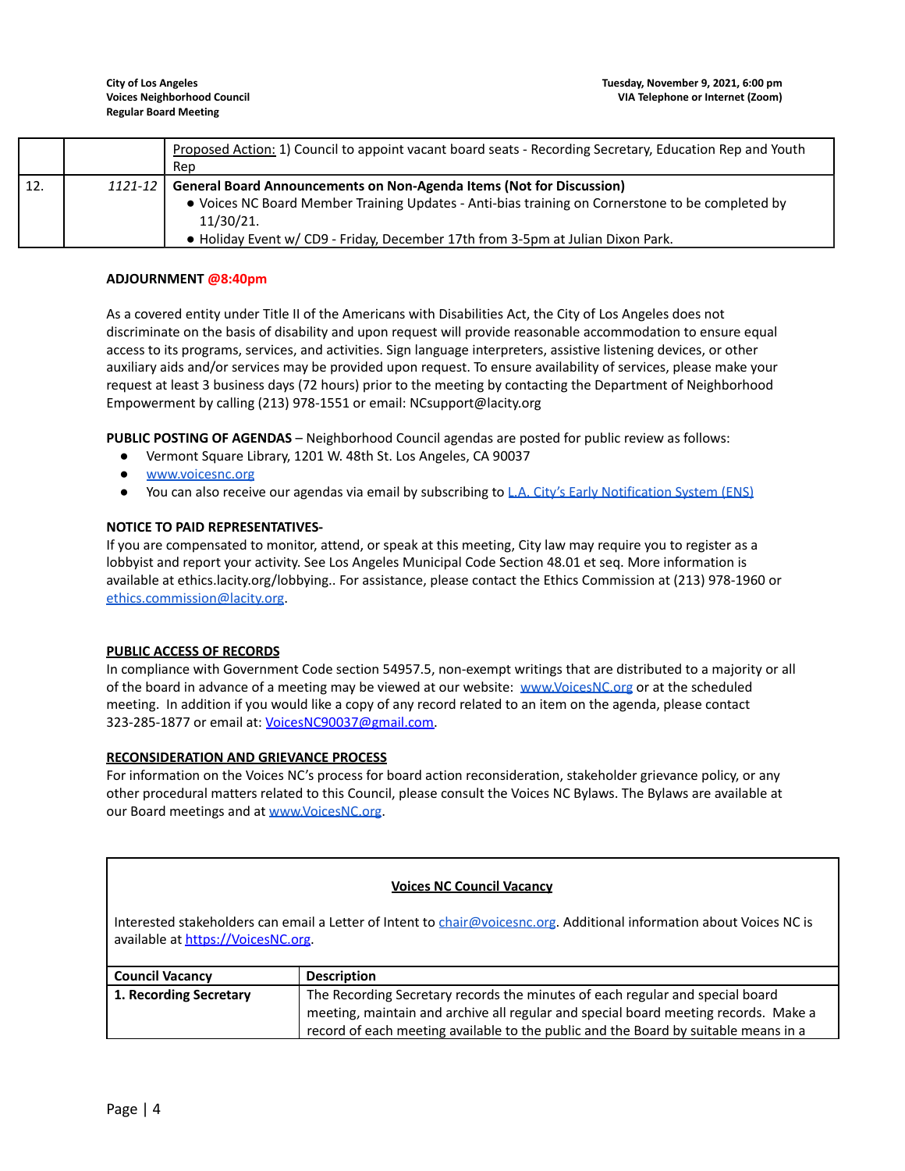|     |         | Proposed Action: 1) Council to appoint vacant board seats - Recording Secretary, Education Rep and Youth<br>Rep                                                                                                                                                                 |
|-----|---------|---------------------------------------------------------------------------------------------------------------------------------------------------------------------------------------------------------------------------------------------------------------------------------|
| 12. | 1121-12 | <b>General Board Announcements on Non-Agenda Items (Not for Discussion)</b><br>• Voices NC Board Member Training Updates - Anti-bias training on Cornerstone to be completed by<br>11/30/21.<br>. Holiday Event w/ CD9 - Friday, December 17th from 3-5pm at Julian Dixon Park. |

# **ADJOURNMENT @8:40pm**

As a covered entity under Title II of the Americans with Disabilities Act, the City of Los Angeles does not discriminate on the basis of disability and upon request will provide reasonable accommodation to ensure equal access to its programs, services, and activities. Sign language interpreters, assistive listening devices, or other auxiliary aids and/or services may be provided upon request. To ensure availability of services, please make your request at least 3 business days (72 hours) prior to the meeting by contacting the Department of Neighborhood Empowerment by calling (213) 978-1551 or email: NCsupport@lacity.org

**PUBLIC POSTING OF AGENDAS** – Neighborhood Council agendas are posted for public review as follows:

- Vermont Square Library, 1201 W. 48th St. Los Angeles, CA 90037
- [www.voicesnc.org](http://www.voicesnc.org)
- You can also receive our agendas via email by subscribing to L.A. City's Early [Notification](https://www.lacity.org/government/subscribe-agendasnotifications/neighborhood-councils) System (ENS)

# **NOTICE TO PAID REPRESENTATIVES-**

If you are compensated to monitor, attend, or speak at this meeting, City law may require you to register as a lobbyist and report your activity. See Los Angeles Municipal Code Section 48.01 et seq. More information is available at ethics.lacity.org/lobbying.. For assistance, please contact the Ethics Commission at (213) 978-1960 or [ethics.commission@lacity.org](mailto:ethics.commission@lacity.org).

### **PUBLIC ACCESS OF RECORDS**

In compliance with Government Code section 54957.5, non-exempt writings that are distributed to a majority or all of the board in advance of a meeting may be viewed at our website: [www.VoicesNC.org](http://www.voicesnc.org) or at the scheduled meeting. In addition if you would like a copy of any record related to an item on the agenda, please contact 323-285-1877 or email at: [VoicesNC90037@gmail.com.](mailto:VoicesNC90037@gmail.com)

### **RECONSIDERATION AND GRIEVANCE PROCESS**

For information on the Voices NC's process for board action reconsideration, stakeholder grievance policy, or any other procedural matters related to this Council, please consult the Voices NC Bylaws. The Bylaws are available at our Board meetings and at [www.VoicesNC.org](http://www.voicesnc.org).

### **Voices NC Council Vacancy**

Interested stakeholders can email a Letter of Intent to [chair@voicesnc.org](mailto:chair@voicesnc.org). Additional information about Voices NC is available at [https://VoicesNC.org](https://protect-us.mimecast.com/s/E5C9CqxMrGcYVDosZ0ERi).

| Council Vacancy                                                                                           | <b>Description</b>                                                                  |
|-----------------------------------------------------------------------------------------------------------|-------------------------------------------------------------------------------------|
| The Recording Secretary records the minutes of each regular and special board<br>  1. Recording Secretary |                                                                                     |
|                                                                                                           | meeting, maintain and archive all regular and special board meeting records. Make a |
|                                                                                                           | record of each meeting available to the public and the Board by suitable means in a |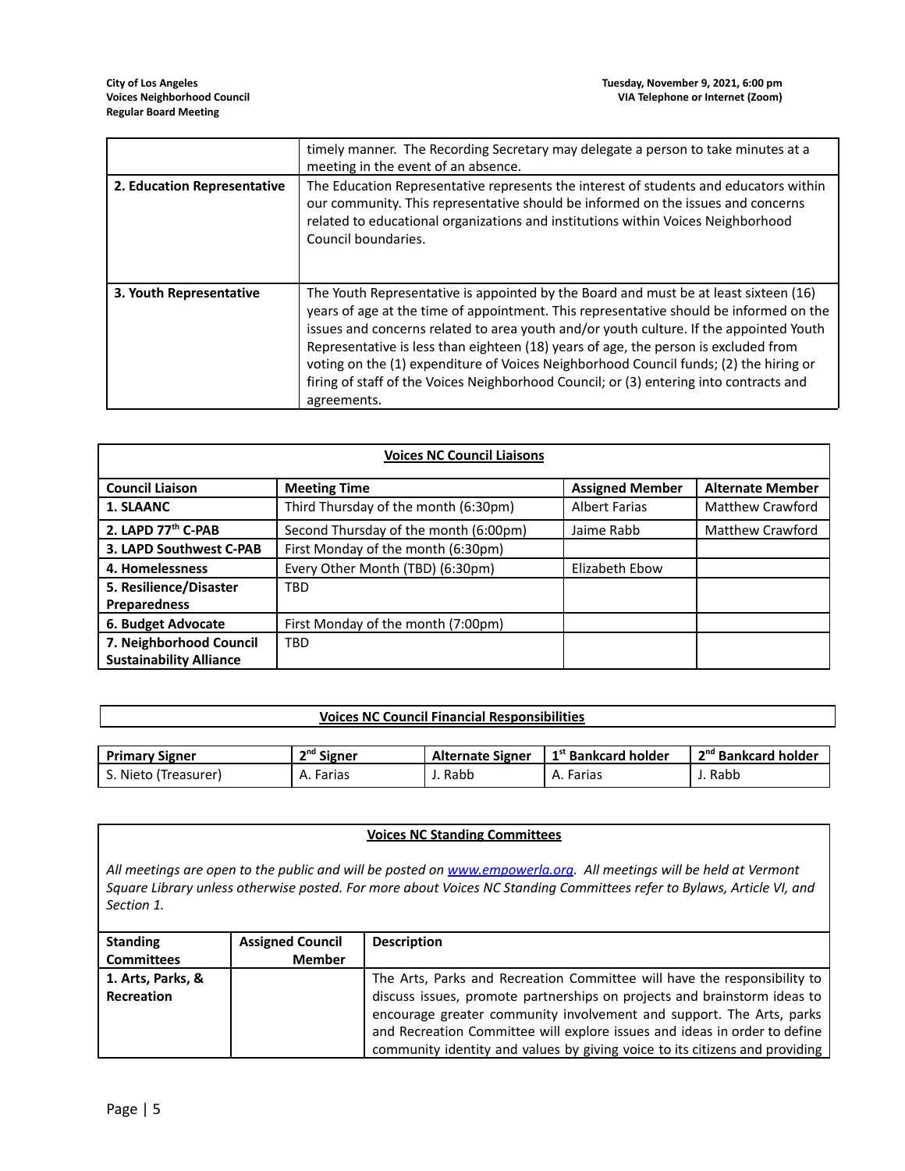|                             | timely manner. The Recording Secretary may delegate a person to take minutes at a<br>meeting in the event of an absence.                                                                                                                                                                                                                                                                                                                                                                                                                                          |
|-----------------------------|-------------------------------------------------------------------------------------------------------------------------------------------------------------------------------------------------------------------------------------------------------------------------------------------------------------------------------------------------------------------------------------------------------------------------------------------------------------------------------------------------------------------------------------------------------------------|
| 2. Education Representative | The Education Representative represents the interest of students and educators within<br>our community. This representative should be informed on the issues and concerns<br>related to educational organizations and institutions within Voices Neighborhood<br>Council boundaries.                                                                                                                                                                                                                                                                              |
| 3. Youth Representative     | The Youth Representative is appointed by the Board and must be at least sixteen (16)<br>years of age at the time of appointment. This representative should be informed on the<br>issues and concerns related to area youth and/or youth culture. If the appointed Youth<br>Representative is less than eighteen (18) years of age, the person is excluded from<br>voting on the (1) expenditure of Voices Neighborhood Council funds; (2) the hiring or<br>firing of staff of the Voices Neighborhood Council; or (3) entering into contracts and<br>agreements. |

| <b>Voices NC Council Liaisons</b> |                                       |                        |                         |
|-----------------------------------|---------------------------------------|------------------------|-------------------------|
| <b>Council Liaison</b>            | <b>Meeting Time</b>                   | <b>Assigned Member</b> | <b>Alternate Member</b> |
| 1. SLAANC                         | Third Thursday of the month (6:30pm)  | <b>Albert Farias</b>   | Matthew Crawford        |
| 2. LAPD 77 <sup>th</sup> C-PAB    | Second Thursday of the month (6:00pm) | Jaime Rabb             | <b>Matthew Crawford</b> |
| 3. LAPD Southwest C-PAB           | First Monday of the month (6:30pm)    |                        |                         |
| 4. Homelessness                   | Every Other Month (TBD) (6:30pm)      | Elizabeth Ebow         |                         |
| 5. Resilience/Disaster            | <b>TBD</b>                            |                        |                         |
| <b>Preparedness</b>               |                                       |                        |                         |
| 6. Budget Advocate                | First Monday of the month (7:00pm)    |                        |                         |
| 7. Neighborhood Council           | <b>TBD</b>                            |                        |                         |
| <b>Sustainability Alliance</b>    |                                       |                        |                         |

# **Voices NC Council Financial Responsibilities**

| <b>Primary Signer</b> | <sup>2<sup>nd</sup> Signer</sup> | <b>Alternate Signer</b> | 1 <sup>st</sup> Bankcard holder | 2 <sup>nd</sup> Bankcard holder |
|-----------------------|----------------------------------|-------------------------|---------------------------------|---------------------------------|
| . Nieto (Treasurer)   | A. Farias                        | Rabb                    | A. Farias                       | Rabb                            |

### **Voices NC Standing Committees**

All meetings are open to the public and will be posted on [www.empowerla.org](http://www.empowerla.org). All meetings will be held at Vermont Square Library unless otherwise posted. For more about Voices NC Standing Committees refer to Bylaws, Article VI, and *Section 1.*

| <b>Standing</b>   | <b>Assigned Council</b> | <b>Description</b>                                                          |
|-------------------|-------------------------|-----------------------------------------------------------------------------|
| <b>Committees</b> | <b>Member</b>           |                                                                             |
| 1. Arts, Parks, & |                         | The Arts, Parks and Recreation Committee will have the responsibility to    |
| Recreation        |                         | discuss issues, promote partnerships on projects and brainstorm ideas to    |
|                   |                         | encourage greater community involvement and support. The Arts, parks        |
|                   |                         | and Recreation Committee will explore issues and ideas in order to define   |
|                   |                         | community identity and values by giving voice to its citizens and providing |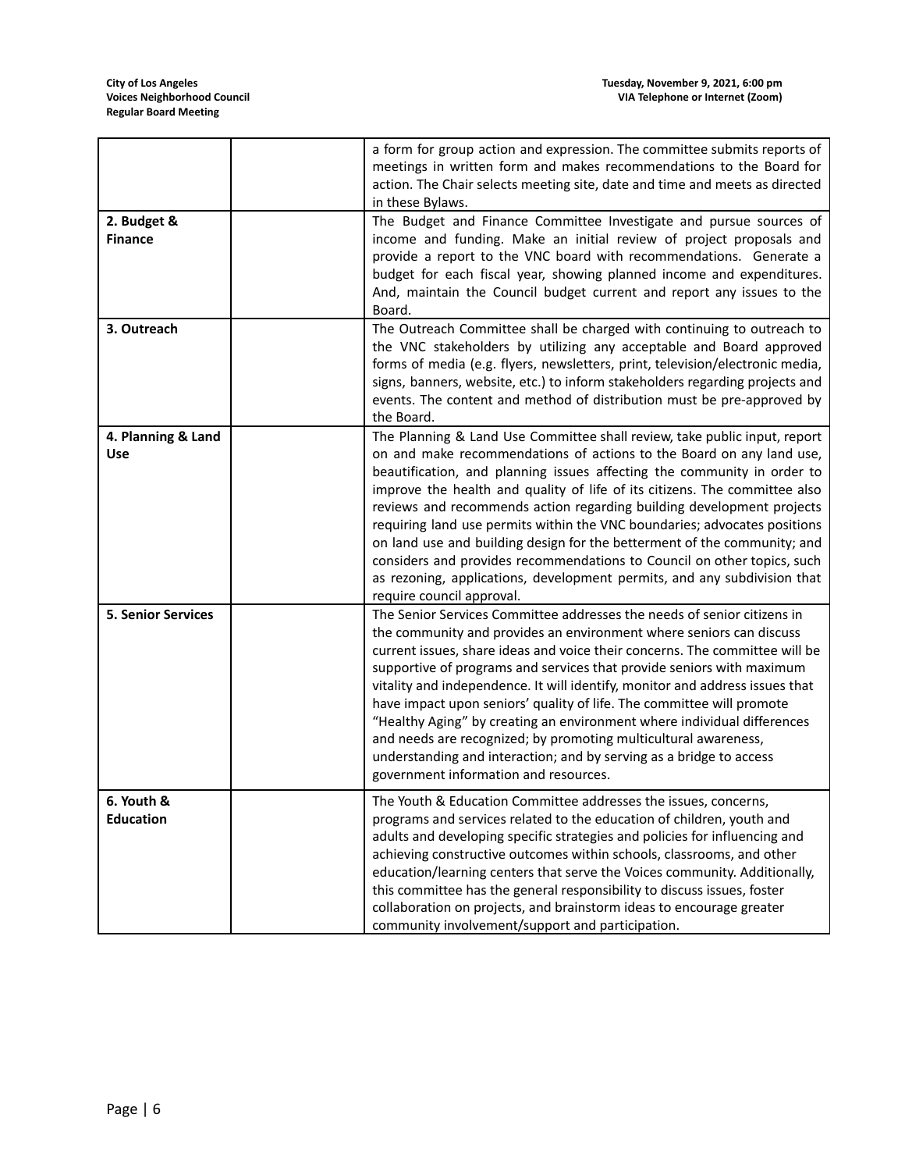|                                  | a form for group action and expression. The committee submits reports of<br>meetings in written form and makes recommendations to the Board for<br>action. The Chair selects meeting site, date and time and meets as directed<br>in these Bylaws.                                                                                                                                                                                                                                                                                                                                                                                                                                                                               |
|----------------------------------|----------------------------------------------------------------------------------------------------------------------------------------------------------------------------------------------------------------------------------------------------------------------------------------------------------------------------------------------------------------------------------------------------------------------------------------------------------------------------------------------------------------------------------------------------------------------------------------------------------------------------------------------------------------------------------------------------------------------------------|
| 2. Budget &<br><b>Finance</b>    | The Budget and Finance Committee Investigate and pursue sources of<br>income and funding. Make an initial review of project proposals and<br>provide a report to the VNC board with recommendations. Generate a<br>budget for each fiscal year, showing planned income and expenditures.<br>And, maintain the Council budget current and report any issues to the<br>Board.                                                                                                                                                                                                                                                                                                                                                      |
| 3. Outreach                      | The Outreach Committee shall be charged with continuing to outreach to<br>the VNC stakeholders by utilizing any acceptable and Board approved<br>forms of media (e.g. flyers, newsletters, print, television/electronic media,<br>signs, banners, website, etc.) to inform stakeholders regarding projects and<br>events. The content and method of distribution must be pre-approved by<br>the Board.                                                                                                                                                                                                                                                                                                                           |
| 4. Planning & Land<br><b>Use</b> | The Planning & Land Use Committee shall review, take public input, report<br>on and make recommendations of actions to the Board on any land use,<br>beautification, and planning issues affecting the community in order to<br>improve the health and quality of life of its citizens. The committee also<br>reviews and recommends action regarding building development projects<br>requiring land use permits within the VNC boundaries; advocates positions<br>on land use and building design for the betterment of the community; and<br>considers and provides recommendations to Council on other topics, such<br>as rezoning, applications, development permits, and any subdivision that<br>require council approval. |
| <b>5. Senior Services</b>        | The Senior Services Committee addresses the needs of senior citizens in<br>the community and provides an environment where seniors can discuss<br>current issues, share ideas and voice their concerns. The committee will be<br>supportive of programs and services that provide seniors with maximum<br>vitality and independence. It will identify, monitor and address issues that<br>have impact upon seniors' quality of life. The committee will promote<br>"Healthy Aging" by creating an environment where individual differences<br>and needs are recognized; by promoting multicultural awareness,<br>understanding and interaction; and by serving as a bridge to access<br>government information and resources.    |
| 6. Youth &<br><b>Education</b>   | The Youth & Education Committee addresses the issues, concerns,<br>programs and services related to the education of children, youth and<br>adults and developing specific strategies and policies for influencing and<br>achieving constructive outcomes within schools, classrooms, and other<br>education/learning centers that serve the Voices community. Additionally,<br>this committee has the general responsibility to discuss issues, foster<br>collaboration on projects, and brainstorm ideas to encourage greater<br>community involvement/support and participation.                                                                                                                                              |